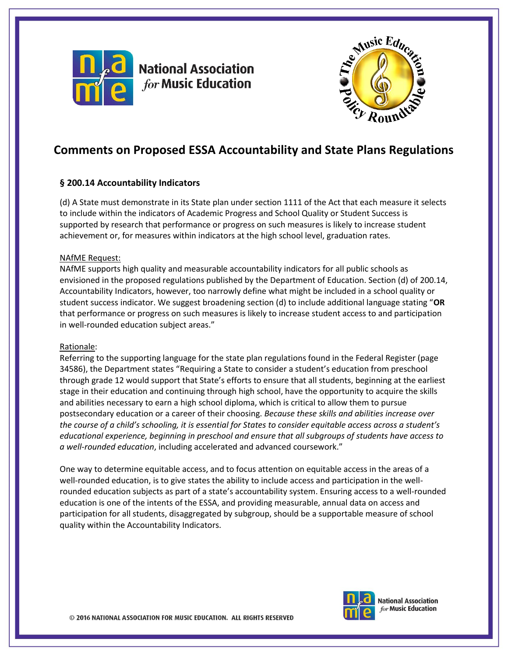

**National Association for Music Education** 



# **Comments on Proposed ESSA Accountability and State Plans Regulations**

# **§ 200.14 Accountability Indicators**

(d) A State must demonstrate in its State plan under section 1111 of the Act that each measure it selects to include within the indicators of Academic Progress and School Quality or Student Success is supported by research that performance or progress on such measures is likely to increase student achievement or, for measures within indicators at the high school level, graduation rates.

## NAfME Request:

NAfME supports high quality and measurable accountability indicators for all public schools as envisioned in the proposed regulations published by the Department of Education. Section (d) of 200.14, Accountability Indicators, however, too narrowly define what might be included in a school quality or student success indicator. We suggest broadening section (d) to include additional language stating "**OR** that performance or progress on such measures is likely to increase student access to and participation in well-rounded education subject areas."

#### Rationale:

Referring to the supporting language for the state plan regulations found in the Federal Register (page 34586), the Department states "Requiring a State to consider a student's education from preschool through grade 12 would support that State's efforts to ensure that all students, beginning at the earliest stage in their education and continuing through high school, have the opportunity to acquire the skills and abilities necessary to earn a high school diploma, which is critical to allow them to pursue postsecondary education or a career of their choosing. *Because these skills and abilities increase over the course of a child's schooling, it is essential for States to consider equitable access across a student's educational experience, beginning in preschool and ensure that all subgroups of students have access to a well-rounded education*, including accelerated and advanced coursework."

One way to determine equitable access, and to focus attention on equitable access in the areas of a well-rounded education, is to give states the ability to include access and participation in the wellrounded education subjects as part of a state's accountability system. Ensuring access to a well-rounded education is one of the intents of the ESSA, and providing measurable, annual data on access and participation for all students, disaggregated by subgroup, should be a supportable measure of school quality within the Accountability Indicators.



**National Association** for Music Education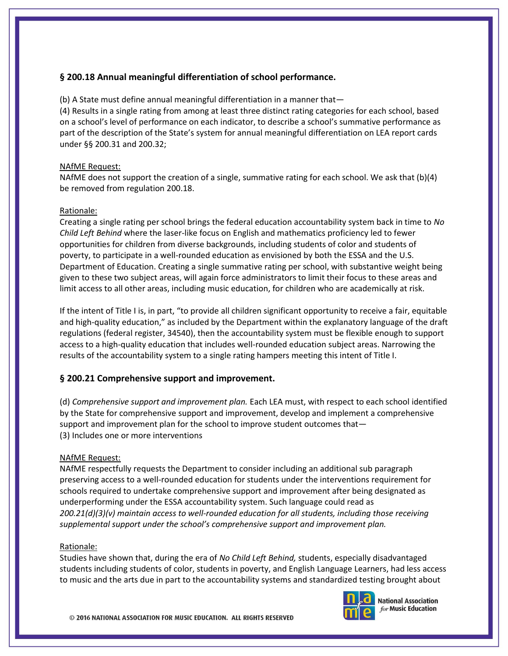# **§ 200.18 Annual meaningful differentiation of school performance.**

(b) A State must define annual meaningful differentiation in a manner that—

(4) Results in a single rating from among at least three distinct rating categories for each school, based on a school's level of performance on each indicator, to describe a school's summative performance as part of the description of the State's system for annual meaningful differentiation on LEA report cards under §§ 200.31 and 200.32;

## NAfME Request:

NAfME does not support the creation of a single, summative rating for each school. We ask that (b)(4) be removed from regulation 200.18.

## Rationale:

Creating a single rating per school brings the federal education accountability system back in time to *No Child Left Behind* where the laser-like focus on English and mathematics proficiency led to fewer opportunities for children from diverse backgrounds, including students of color and students of poverty, to participate in a well-rounded education as envisioned by both the ESSA and the U.S. Department of Education. Creating a single summative rating per school, with substantive weight being given to these two subject areas, will again force administrators to limit their focus to these areas and limit access to all other areas, including music education, for children who are academically at risk.

If the intent of Title I is, in part, "to provide all children significant opportunity to receive a fair, equitable and high-quality education," as included by the Department within the explanatory language of the draft regulations (federal register, 34540), then the accountability system must be flexible enough to support access to a high-quality education that includes well-rounded education subject areas. Narrowing the results of the accountability system to a single rating hampers meeting this intent of Title I.

# **§ 200.21 Comprehensive support and improvement.**

(d) *Comprehensive support and improvement plan.* Each LEA must, with respect to each school identified by the State for comprehensive support and improvement, develop and implement a comprehensive support and improvement plan for the school to improve student outcomes that— (3) Includes one or more interventions

#### NAfME Request:

NAfME respectfully requests the Department to consider including an additional sub paragraph preserving access to a well-rounded education for students under the interventions requirement for schools required to undertake comprehensive support and improvement after being designated as underperforming under the ESSA accountability system. Such language could read as *200.21(d)(3)(v) maintain access to well-rounded education for all students, including those receiving supplemental support under the school's comprehensive support and improvement plan.*

#### Rationale:

Studies have shown that, during the era of *No Child Left Behind,* students, especially disadvantaged students including students of color, students in poverty, and English Language Learners, had less access to music and the arts due in part to the accountability systems and standardized testing brought about



**National Association** for Music Education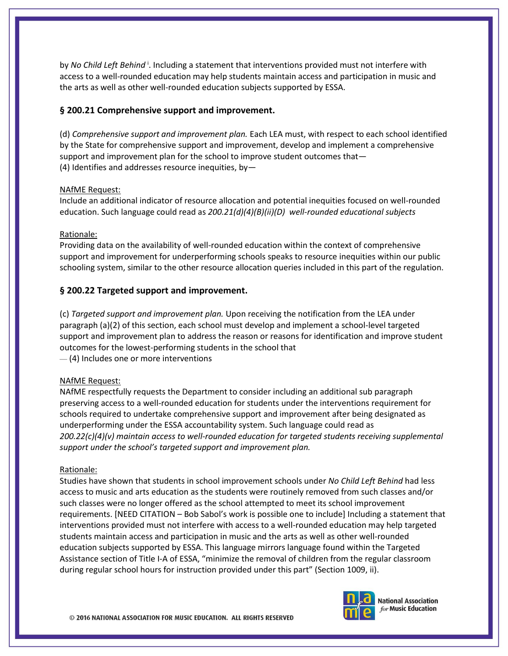by *No Child Left Behind*<sup>1</sup>. Including a statement that interventions provided must not interfere with access to a well-rounded education may help students maintain access and participation in music and the arts as well as other well-rounded education subjects supported by ESSA.

## **§ 200.21 Comprehensive support and improvement.**

(d) *Comprehensive support and improvement plan.* Each LEA must, with respect to each school identified by the State for comprehensive support and improvement, develop and implement a comprehensive support and improvement plan for the school to improve student outcomes that— (4) Identifies and addresses resource inequities, by—

#### NAfME Request:

Include an additional indicator of resource allocation and potential inequities focused on well-rounded education. Such language could read as *200.21(d)(4)(B)(ii)(D) well-rounded educational subjects*

#### Rationale:

Providing data on the availability of well-rounded education within the context of comprehensive support and improvement for underperforming schools speaks to resource inequities within our public schooling system, similar to the other resource allocation queries included in this part of the regulation.

## **§ 200.22 Targeted support and improvement.**

(c) *Targeted support and improvement plan.* Upon receiving the notification from the LEA under paragraph (a)(2) of this section, each school must develop and implement a school-level targeted support and improvement plan to address the reason or reasons for identification and improve student outcomes for the lowest-performing students in the school that — (4) Includes one or more interventions

#### NAfME Request:

NAfME respectfully requests the Department to consider including an additional sub paragraph preserving access to a well-rounded education for students under the interventions requirement for schools required to undertake comprehensive support and improvement after being designated as underperforming under the ESSA accountability system. Such language could read as *200.22(c)(4)(v) maintain access to well-rounded education for targeted students receiving supplemental support under the school's targeted support and improvement plan.*

#### Rationale:

Studies have shown that students in school improvement schools under *No Child Left Behind* had less access to music and arts education as the students were routinely removed from such classes and/or such classes were no longer offered as the school attempted to meet its school improvement requirements. [NEED CITATION – Bob Sabol's work is possible one to include] Including a statement that interventions provided must not interfere with access to a well-rounded education may help targeted students maintain access and participation in music and the arts as well as other well-rounded education subjects supported by ESSA. This language mirrors language found within the Targeted Assistance section of Title I-A of ESSA, "minimize the removal of children from the regular classroom during regular school hours for instruction provided under this part" (Section 1009, ii).





**National Association** for Music Education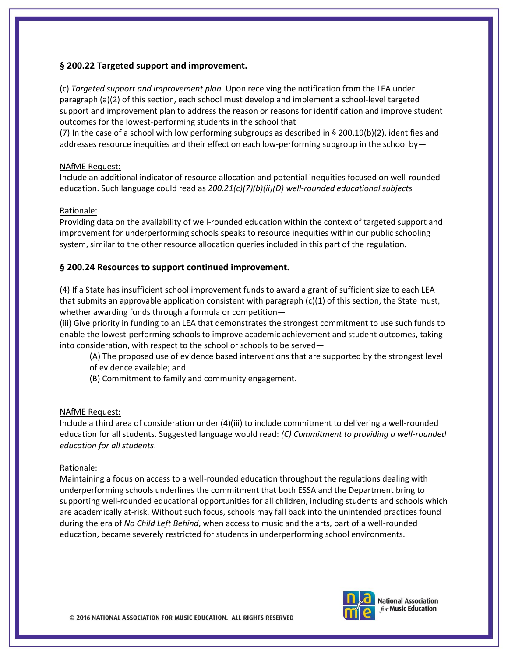## **§ 200.22 Targeted support and improvement.**

(c) *Targeted support and improvement plan.* Upon receiving the notification from the LEA under paragraph (a)(2) of this section, each school must develop and implement a school-level targeted support and improvement plan to address the reason or reasons for identification and improve student outcomes for the lowest-performing students in the school that

(7) In the case of a school with low performing subgroups as described in § 200.19(b)(2), identifies and addresses resource inequities and their effect on each low-performing subgroup in the school by—

## NAfME Request:

Include an additional indicator of resource allocation and potential inequities focused on well-rounded education. Such language could read as *200.21(c)(7)(b)(ii)(D) well-rounded educational subjects*

## Rationale:

Providing data on the availability of well-rounded education within the context of targeted support and improvement for underperforming schools speaks to resource inequities within our public schooling system, similar to the other resource allocation queries included in this part of the regulation.

## **§ 200.24 Resources to support continued improvement.**

(4) If a State has insufficient school improvement funds to award a grant of sufficient size to each LEA that submits an approvable application consistent with paragraph  $(c)(1)$  of this section, the State must, whether awarding funds through a formula or competition—

(iii) Give priority in funding to an LEA that demonstrates the strongest commitment to use such funds to enable the lowest-performing schools to improve academic achievement and student outcomes, taking into consideration, with respect to the school or schools to be served—

(A) The proposed use of evidence based interventions that are supported by the strongest level of evidence available; and

(B) Commitment to family and community engagement.

## NAfME Request:

Include a third area of consideration under (4)(iii) to include commitment to delivering a well-rounded education for all students. Suggested language would read: *(C) Commitment to providing a well-rounded education for all students*.

#### Rationale:

Maintaining a focus on access to a well-rounded education throughout the regulations dealing with underperforming schools underlines the commitment that both ESSA and the Department bring to supporting well-rounded educational opportunities for all children, including students and schools which are academically at-risk. Without such focus, schools may fall back into the unintended practices found during the era of *No Child Left Behind*, when access to music and the arts, part of a well-rounded education, became severely restricted for students in underperforming school environments.



**National Association** for Music Education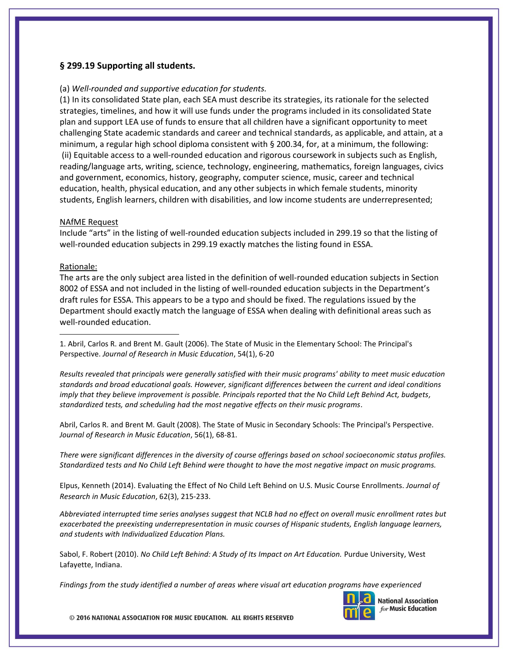## **§ 299.19 Supporting all students.**

#### (a) *Well-rounded and supportive education for students.*

(1) In its consolidated State plan, each SEA must describe its strategies, its rationale for the selected strategies, timelines, and how it will use funds under the programs included in its consolidated State plan and support LEA use of funds to ensure that all children have a significant opportunity to meet challenging State academic standards and career and technical standards, as applicable, and attain, at a minimum, a regular high school diploma consistent with § 200.34, for, at a minimum, the following: (ii) Equitable access to a well-rounded education and rigorous coursework in subjects such as English, reading/language arts, writing, science, technology, engineering, mathematics, foreign languages, civics and government, economics, history, geography, computer science, music, career and technical education, health, physical education, and any other subjects in which female students, minority students, English learners, children with disabilities, and low income students are underrepresented;

#### NAfME Request

Include "arts" in the listing of well-rounded education subjects included in 299.19 so that the listing of well-rounded education subjects in 299.19 exactly matches the listing found in ESSA.

#### Rationale:

 $\overline{\phantom{a}}$ 

The arts are the only subject area listed in the definition of well-rounded education subjects in Section 8002 of ESSA and not included in the listing of well-rounded education subjects in the Department's draft rules for ESSA. This appears to be a typo and should be fixed. The regulations issued by the Department should exactly match the language of ESSA when dealing with definitional areas such as well-rounded education.

1. Abril, Carlos R. and Brent M. Gault (2006). The State of Music in the Elementary School: The Principal's Perspective. *Journal of Research in Music Education*, 54(1), 6-20

*Results revealed that principals were generally satisfied with their music programs' ability to meet music education standards and broad educational goals. However, significant differences between the current and ideal conditions imply that they believe improvement is possible. Principals reported that the No Child Left Behind Act, budgets, standardized tests, and scheduling had the most negative effects on their music programs.*

Abril, Carlos R. and Brent M. Gault (2008). The State of Music in Secondary Schools: The Principal's Perspective. *Journal of Research in Music Education*, 56(1), 68-81.

There were significant differences in the diversity of course offerings based on school socioeconomic status profiles. Standardized tests and No Child Left Behind were thought to have the most negative impact on music programs.

Elpus, Kenneth (2014). Evaluating the Effect of No Child Left Behind on U.S. Music Course Enrollments. *Journal of Research in Music Education*, 62(3), 215-233.

*Abbreviated interrupted time series analyses suggest that NCLB had no effect on overall music enrollment rates but exacerbated the preexisting underrepresentation in music courses of Hispanic students, English language learners, and students with Individualized Education Plans.* 

Sabol, F. Robert (2010). *No Child Left Behind: A Study of Its Impact on Art Education.* Purdue University, West Lafayette, Indiana.

*Findings from the study identified a number of areas where visual art education programs have experienced*



**National Association** for Music Education